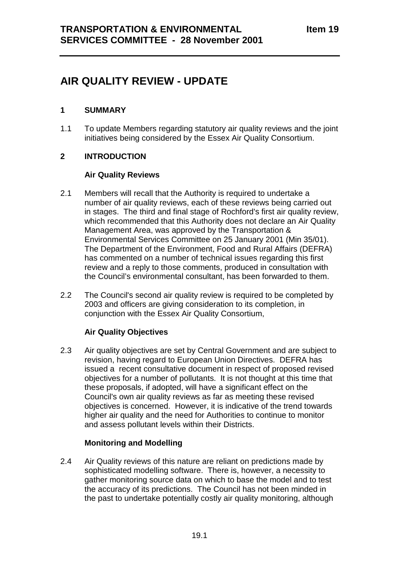# **AIR QUALITY REVIEW - UPDATE**

## **1 SUMMARY**

1.1 To update Members regarding statutory air quality reviews and the joint initiatives being considered by the Essex Air Quality Consortium.

# **2 INTRODUCTION**

## **Air Quality Reviews**

- 2.1 Members will recall that the Authority is required to undertake a number of air quality reviews, each of these reviews being carried out in stages. The third and final stage of Rochford's first air quality review, which recommended that this Authority does not declare an Air Quality Management Area, was approved by the Transportation & Environmental Services Committee on 25 January 2001 (Min 35/01). The Department of the Environment, Food and Rural Affairs (DEFRA) has commented on a number of technical issues regarding this first review and a reply to those comments, produced in consultation with the Council's environmental consultant, has been forwarded to them.
- 2.2 The Council's second air quality review is required to be completed by 2003 and officers are giving consideration to its completion, in conjunction with the Essex Air Quality Consortium,

#### **Air Quality Objectives**

2.3 Air quality objectives are set by Central Government and are subject to revision, having regard to European Union Directives. DEFRA has issued a recent consultative document in respect of proposed revised objectives for a number of pollutants. It is not thought at this time that these proposals, if adopted, will have a significant effect on the Council's own air quality reviews as far as meeting these revised objectives is concerned. However, it is indicative of the trend towards higher air quality and the need for Authorities to continue to monitor and assess pollutant levels within their Districts.

#### **Monitoring and Modelling**

2.4 Air Quality reviews of this nature are reliant on predictions made by sophisticated modelling software. There is, however, a necessity to gather monitoring source data on which to base the model and to test the accuracy of its predictions. The Council has not been minded in the past to undertake potentially costly air quality monitoring, although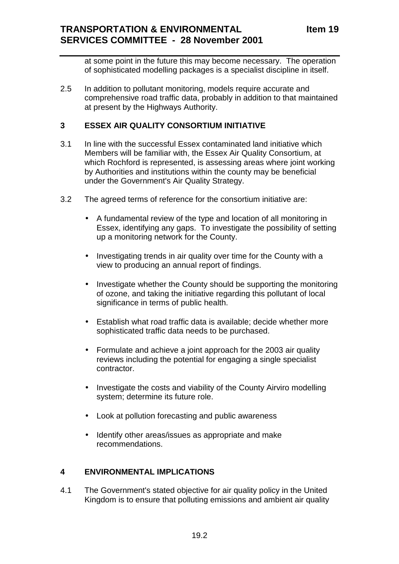at some point in the future this may become necessary. The operation of sophisticated modelling packages is a specialist discipline in itself.

2.5 In addition to pollutant monitoring, models require accurate and comprehensive road traffic data, probably in addition to that maintained at present by the Highways Authority.

#### **3 ESSEX AIR QUALITY CONSORTIUM INITIATIVE**

- 3.1 In line with the successful Essex contaminated land initiative which Members will be familiar with, the Essex Air Quality Consortium, at which Rochford is represented, is assessing areas where joint working by Authorities and institutions within the county may be beneficial under the Government's Air Quality Strategy.
- 3.2 The agreed terms of reference for the consortium initiative are:
	- A fundamental review of the type and location of all monitoring in Essex, identifying any gaps. To investigate the possibility of setting up a monitoring network for the County.
	- Investigating trends in air quality over time for the County with a view to producing an annual report of findings.
	- Investigate whether the County should be supporting the monitoring of ozone, and taking the initiative regarding this pollutant of local significance in terms of public health.
	- Establish what road traffic data is available; decide whether more sophisticated traffic data needs to be purchased.
	- Formulate and achieve a joint approach for the 2003 air quality reviews including the potential for engaging a single specialist contractor.
	- Investigate the costs and viability of the County Airviro modelling system; determine its future role.
	- Look at pollution forecasting and public awareness
	- Identify other areas/issues as appropriate and make recommendations.

#### **4 ENVIRONMENTAL IMPLICATIONS**

4.1 The Government's stated objective for air quality policy in the United Kingdom is to ensure that polluting emissions and ambient air quality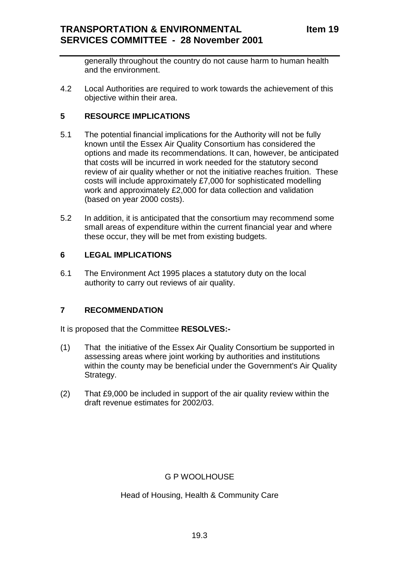generally throughout the country do not cause harm to human health and the environment.

4.2 Local Authorities are required to work towards the achievement of this objective within their area.

## **5 RESOURCE IMPLICATIONS**

- 5.1 The potential financial implications for the Authority will not be fully known until the Essex Air Quality Consortium has considered the options and made its recommendations. It can, however, be anticipated that costs will be incurred in work needed for the statutory second review of air quality whether or not the initiative reaches fruition. These costs will include approximately £7,000 for sophisticated modelling work and approximately £2,000 for data collection and validation (based on year 2000 costs).
- 5.2 In addition, it is anticipated that the consortium may recommend some small areas of expenditure within the current financial year and where these occur, they will be met from existing budgets.

## **6 LEGAL IMPLICATIONS**

6.1 The Environment Act 1995 places a statutory duty on the local authority to carry out reviews of air quality.

#### **7 RECOMMENDATION**

It is proposed that the Committee **RESOLVES:-**

- (1) That the initiative of the Essex Air Quality Consortium be supported in assessing areas where joint working by authorities and institutions within the county may be beneficial under the Government's Air Quality Strategy.
- (2) That £9,000 be included in support of the air quality review within the draft revenue estimates for 2002/03.

# G P WOOLHOUSE

Head of Housing, Health & Community Care